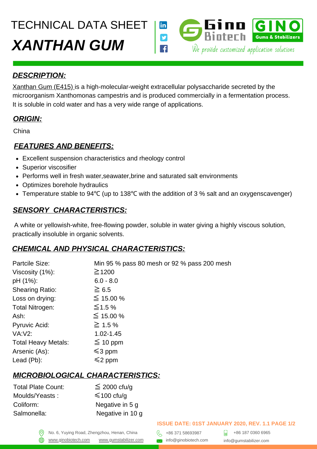TECHNICAL DATA SHEET



#### *DESCRIPTION:*

[Xanthan Gum \(E415\) i](https://gumstabilizer.com/products/xanthan-gum)s a high-molecular-weight extracellular polysaccharide secreted by the microorganism Xanthomonas campestris and is produced commercially in a fermentation process. It is soluble in cold water and has a very wide range of applications.

#### *ORIGIN:*

China

## *FEATURES AND BENEFITS:*

- Excellent suspension characteristics and rheology control
- Superior viscosifier
- Performs well in fresh water,seawater,brine and saturated salt environments
- Optimizes borehole hydraulics
- Temperature stable to 94℃ (up to 138℃ with the addition of 3 % salt and an oxygenscavenger)

## *SENSORY CHARACTERISTICS:*

A white or yellowish-white, free-flowing powder, soluble in water giving a highly viscous solution, practically insoluble in organic solvents.

# *CHEMICAL AND PHYSICAL CHARACTERISTICS:*

| Partcile Size:             | Min 95 % pass 80 mesh or 92 % pass 200 mesh |
|----------------------------|---------------------------------------------|
| Viscosity (1%):            | $\geq$ 1200                                 |
| pH (1%):                   | $6.0 - 8.0$                                 |
| <b>Shearing Ratio:</b>     | $\geq 6.5$                                  |
| Loss on drying:            | $\leq 15.00 %$                              |
| Total Nitrogen:            | $\leq$ 1.5 %                                |
| Ash:                       | ≤ 15.00 %                                   |
| Pyruvic Acid:              | $\geq 1.5\%$                                |
| <b>VA:V2:</b>              | 1.02-1.45                                   |
| <b>Total Heavy Metals:</b> | $\leq 10$ ppm                               |
| Arsenic (As):              | $\leq$ 3 ppm                                |
| Lead (Pb):                 | $\leq$ 2 ppm                                |

# *MICROBIOLOGICAL CHARACTERISTICS:*

| <b>Total Plate Count:</b> | $\leq$ 2000 cfu/g |
|---------------------------|-------------------|
| Moulds/Yeasts:            | $\leq 100$ cfu/q  |
| Coliform:                 | Negative in 5 g   |
| Salmonella:               | Negative in 10 g  |
|                           |                   |

#### **ISSUE DATE: 01ST JANUARY 2020, REV. 1.1 PAGE 1/2**

No. 6, Yuying Road, Zhengzhou, Henan, China  $\left\{\begin{matrix} 2 \\ 1 \end{matrix}\right\}$  +86 371 58693987 [www.ginobiotech.com](http://www.ginobiotech.com/) www.gumstabilizer.com <br>www.ginobiotech.com www.gumstabilizer.com and info@ginobiotech.com

+86 187 0360 6965 info@gumstabilizer.com